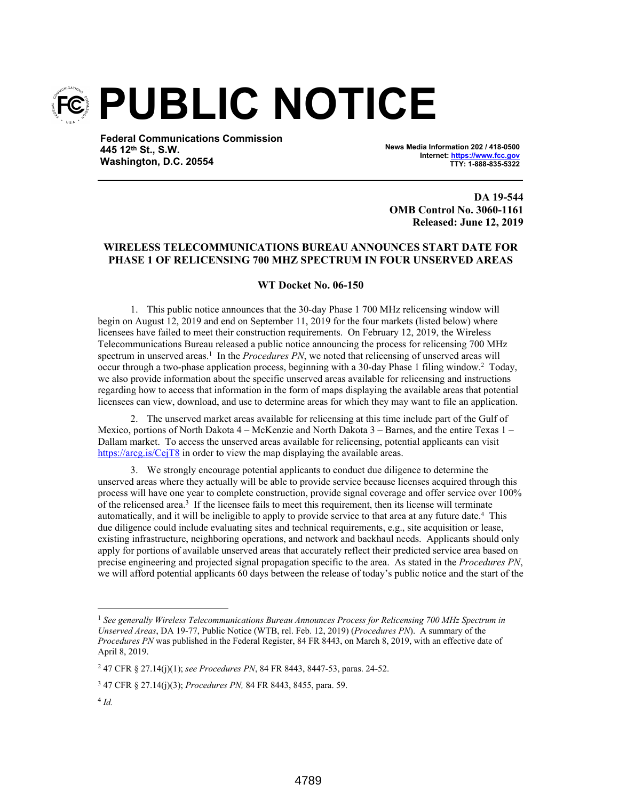

**Federal Communications Commission 445 12th St., S.W. Washington, D.C. 20554**

**News Media Information 202 / 418-0500 Internet: https://www.fcc.gov TTY: 1-888-835-5322**

**DA 19-544 OMB Control No. 3060-1161 Released: June 12, 2019**

## **WIRELESS TELECOMMUNICATIONS BUREAU ANNOUNCES START DATE FOR PHASE 1 OF RELICENSING 700 MHZ SPECTRUM IN FOUR UNSERVED AREAS**

## **WT Docket No. 06-150**

1. This public notice announces that the 30-day Phase 1 700 MHz relicensing window will begin on August 12, 2019 and end on September 11, 2019 for the four markets (listed below) where licensees have failed to meet their construction requirements. On February 12, 2019, the Wireless Telecommunications Bureau released a public notice announcing the process for relicensing 700 MHz spectrum in unserved areas.<sup>1</sup> In the *Procedures PN*, we noted that relicensing of unserved areas will occur through a two-phase application process, beginning with a 30-day Phase 1 filing window.<sup>2</sup> Today, we also provide information about the specific unserved areas available for relicensing and instructions regarding how to access that information in the form of maps displaying the available areas that potential licensees can view, download, and use to determine areas for which they may want to file an application.

2. The unserved market areas available for relicensing at this time include part of the Gulf of Mexico, portions of North Dakota 4 – McKenzie and North Dakota 3 – Barnes, and the entire Texas 1 – Dallam market. To access the unserved areas available for relicensing, potential applicants can visit https://arcg.is/CejT8 in order to view the map displaying the available areas.

3. We strongly encourage potential applicants to conduct due diligence to determine the unserved areas where they actually will be able to provide service because licenses acquired through this process will have one year to complete construction, provide signal coverage and offer service over 100% of the relicensed area.<sup>3</sup> If the licensee fails to meet this requirement, then its license will terminate automatically, and it will be ineligible to apply to provide service to that area at any future date.<sup>4</sup> This due diligence could include evaluating sites and technical requirements, e.g., site acquisition or lease, existing infrastructure, neighboring operations, and network and backhaul needs. Applicants should only apply for portions of available unserved areas that accurately reflect their predicted service area based on precise engineering and projected signal propagation specific to the area. As stated in the *Procedures PN*, we will afford potential applicants 60 days between the release of today's public notice and the start of the

<sup>1</sup> *See generally Wireless Telecommunications Bureau Announces Process for Relicensing 700 MHz Spectrum in Unserved Areas*, DA 19-77, Public Notice (WTB, rel. Feb. 12, 2019) (*Procedures PN*). A summary of the *Procedures PN* was published in the Federal Register, 84 FR 8443, on March 8, 2019, with an effective date of April 8, 2019.

<sup>2</sup> 47 CFR § 27.14(j)(1); *see Procedures PN*, 84 FR 8443, 8447-53, paras. 24-52.

<sup>3</sup> 47 CFR § 27.14(j)(3); *Procedures PN,* 84 FR 8443, 8455, para. 59.

<sup>4</sup> *Id.*